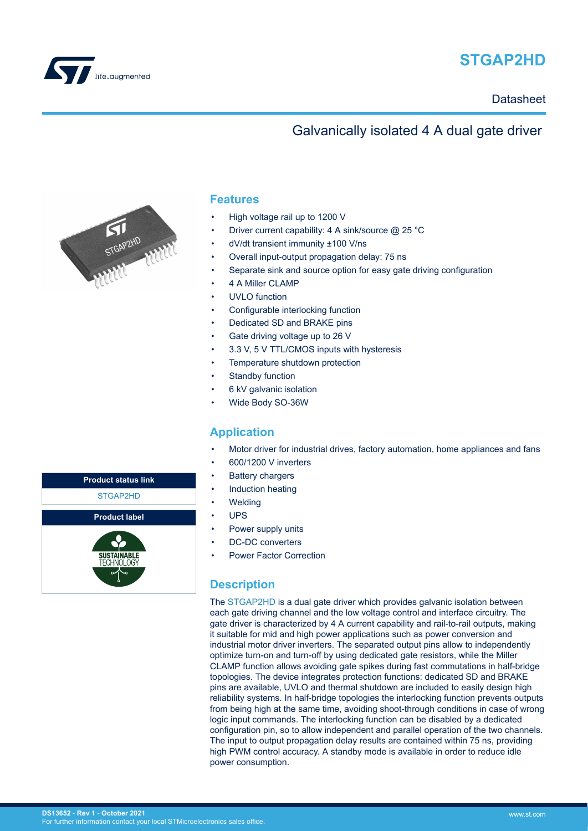

# **STGAP2HD**

### Galvanically isolated 4 A dual gate driver



### **Features**

- High voltage rail up to 1200 V
- Driver current capability: 4 A sink/source @ 25 °C
- dV/dt transient immunity ±100 V/ns
- Overall input-output propagation delay: 75 ns
- Separate sink and source option for easy gate driving configuration
- 4 A Miller CLAMP
- UVLO function
- Configurable interlocking function
- Dedicated SD and BRAKE pins
- Gate driving voltage up to 26 V
- 3.3 V, 5 V TTL/CMOS inputs with hysteresis
- Temperature shutdown protection
- Standby function
- 6 kV galvanic isolation
- Wide Body SO-36W

### **Application**

- Motor driver for industrial drives, factory automation, home appliances and fans
- 600/1200 V inverters
- **Battery chargers**
- Induction heating
- **Welding**
- UPS
- Power supply units
- DC-DC converters
- Power Factor Correction

### **Description**

The [STGAP2HD](https://www.st.com/en/product/STGAP2HD?ecmp=tt9470_gl_link_feb2019&rt=ds&id=DS13652) is a dual gate driver which provides galvanic isolation between each gate driving channel and the low voltage control and interface circuitry. The gate driver is characterized by 4 A current capability and rail-to-rail outputs, making it suitable for mid and high power applications such as power conversion and industrial motor driver inverters. The separated output pins allow to independently optimize turn-on and turn-off by using dedicated gate resistors, while the Miller CLAMP function allows avoiding gate spikes during fast commutations in half-bridge topologies. The device integrates protection functions: dedicated SD and BRAKE pins are available, UVLO and thermal shutdown are included to easily design high reliability systems. In half-bridge topologies the interlocking function prevents outputs from being high at the same time, avoiding shoot-through conditions in case of wrong logic input commands. The interlocking function can be disabled by a dedicated configuration pin, so to allow independent and parallel operation of the two channels. The input to output propagation delay results are contained within 75 ns, providing high PWM control accuracy. A standby mode is available in order to reduce idle power consumption.

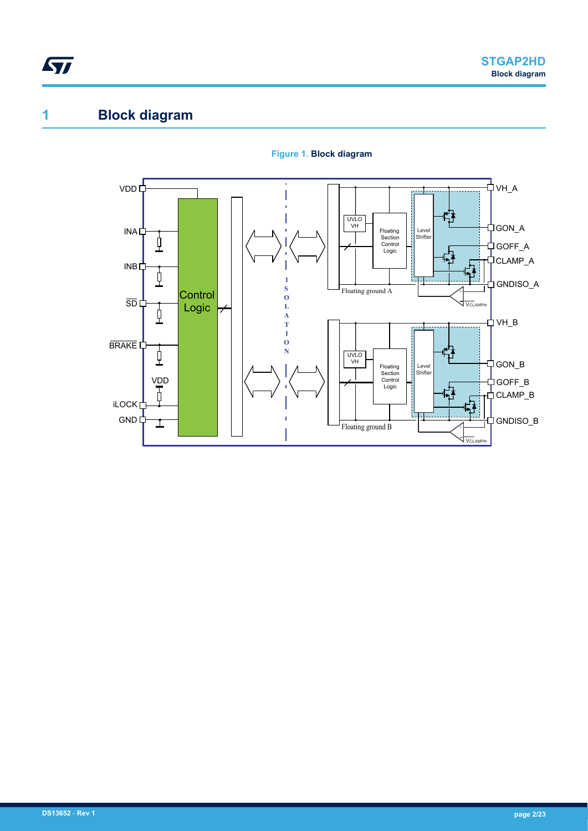# <span id="page-1-0"></span>**1 Block diagram**



#### **Figure 1. Block diagram**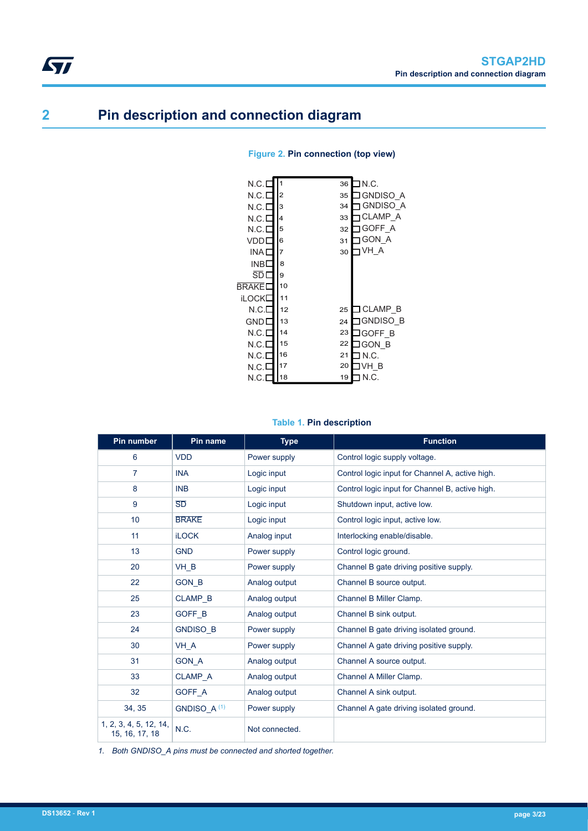# **2 Pin description and connection diagram**

<span id="page-2-0"></span> $\sqrt{2}$ 

| N.C.I        |                | ∃N.C.<br>36           |
|--------------|----------------|-----------------------|
| N.C.E        | $\overline{2}$ | IGNDISO A<br>35       |
| N.C.E        | 3              | <b>GNDISO A</b><br>34 |
| N.C.I        | 4              | <b>CLAMP A</b><br>33  |
| N.C.E        | 5              | GOFF A<br>32          |
| VDDI         | 6              | <b>GON A</b><br>31    |
| INA I        | 7              | VH A<br>30            |
| INBE         | 8              |                       |
| SD L         | 9              |                       |
| <b>BRAKE</b> | 10             |                       |
| iLOCK        | 11             |                       |
| N.C.E        | 12             | ⊐CLAMP B<br>25        |
| GNDL         | 13             | IGNDISO B<br>24       |
| N.C.E        | 14             | 23<br>JGOFF B         |
| N.C.E        | 15             | 22<br>IGON B          |
| N.C.E        | 16             | 7 N.C.<br>21          |
| N.C.L        | 17             | 20<br>IVH B           |
| N.C.I        | 18             | N.C.<br>19            |

#### **Figure 2. Pin connection (top view)**

#### **Table 1. Pin description**

| Pin number                               | Pin name                | <b>Type</b>    | <b>Function</b>                                 |
|------------------------------------------|-------------------------|----------------|-------------------------------------------------|
| 6                                        | <b>VDD</b>              | Power supply   | Control logic supply voltage.                   |
| $\overline{7}$                           | <b>INA</b>              | Logic input    | Control logic input for Channel A, active high. |
| 8                                        | <b>INB</b>              | Logic input    | Control logic input for Channel B, active high. |
| 9                                        | SD                      | Logic input    | Shutdown input, active low.                     |
| 10                                       | <b>BRAKE</b>            | Logic input    | Control logic input, active low.                |
| 11                                       | <b>iLOCK</b>            | Analog input   | Interlocking enable/disable.                    |
| 13                                       | <b>GND</b>              | Power supply   | Control logic ground.                           |
| 20                                       | VH_B                    | Power supply   | Channel B gate driving positive supply.         |
| 22                                       | <b>GON B</b>            | Analog output  | Channel B source output.                        |
| 25                                       | <b>CLAMP B</b>          | Analog output  | Channel B Miller Clamp.                         |
| 23                                       | GOFF B                  | Analog output  | Channel B sink output.                          |
| 24                                       | <b>GNDISO B</b>         | Power supply   | Channel B gate driving isolated ground.         |
| 30                                       | VH A                    | Power supply   | Channel A gate driving positive supply.         |
| 31                                       | <b>GON A</b>            | Analog output  | Channel A source output.                        |
| 33                                       | <b>CLAMP A</b>          | Analog output  | Channel A Miller Clamp.                         |
| 32                                       | GOFF A                  | Analog output  | Channel A sink output.                          |
| 34, 35                                   | GNDISO_A <sup>(1)</sup> | Power supply   | Channel A gate driving isolated ground.         |
| 1, 2, 3, 4, 5, 12, 14,<br>15, 16, 17, 18 | N.C.                    | Not connected. |                                                 |

*1. Both GNDISO\_A pins must be connected and shorted together.*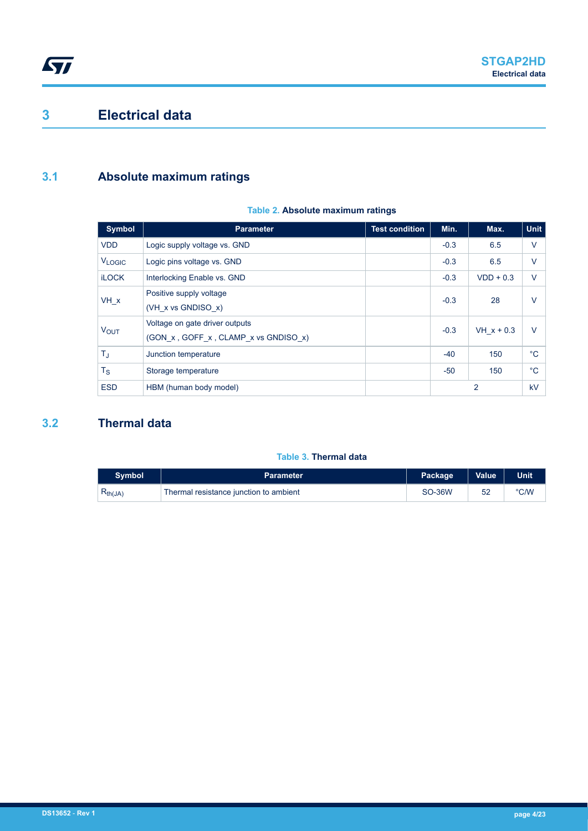## <span id="page-3-0"></span>**3 Electrical data**

### **3.1 Absolute maximum ratings**

#### **Table 2. Absolute maximum ratings**

| <b>Symbol</b>           | <b>Parameter</b>                                                       | <b>Test condition</b> | Min.   | Max.           | <b>Unit</b> |
|-------------------------|------------------------------------------------------------------------|-----------------------|--------|----------------|-------------|
| <b>VDD</b>              | Logic supply voltage vs. GND                                           |                       | $-0.3$ | 6.5            | $\vee$      |
| <b>VLOGIC</b>           | Logic pins voltage vs. GND                                             |                       | $-0.3$ | 6.5            | $\vee$      |
| <b>iLOCK</b>            | Interlocking Enable vs. GND                                            |                       | $-0.3$ | $VDD + 0.3$    | $\vee$      |
| VH x                    | Positive supply voltage<br>$(VH \times vs$ GNDISO $x)$                 |                       | $-0.3$ | 28             | $\vee$      |
| <b>VOUT</b>             | Voltage on gate driver outputs<br>(GON x, GOFF x, CLAMP x vs GNDISO x) |                       | $-0.3$ | $VH x + 0.3$   | $\vee$      |
| $\mathsf{T}_\mathrm{J}$ | Junction temperature                                                   |                       | $-40$  | 150            | $^{\circ}C$ |
| $T_{\rm S}$             | Storage temperature                                                    |                       | $-50$  | 150            | $^{\circ}C$ |
| <b>ESD</b>              | HBM (human body model)                                                 |                       |        | $\overline{2}$ | kV          |

### **3.2 Thermal data**

#### **Table 3. Thermal data**

| <b>Symbol</b> | <b>Parameter</b>                       | Package       | <b>Value</b> | <b>Unit</b> |
|---------------|----------------------------------------|---------------|--------------|-------------|
| $R_{th(JA)}$  | Thermal resistance junction to ambient | <b>SO-36W</b> |              | °C/W        |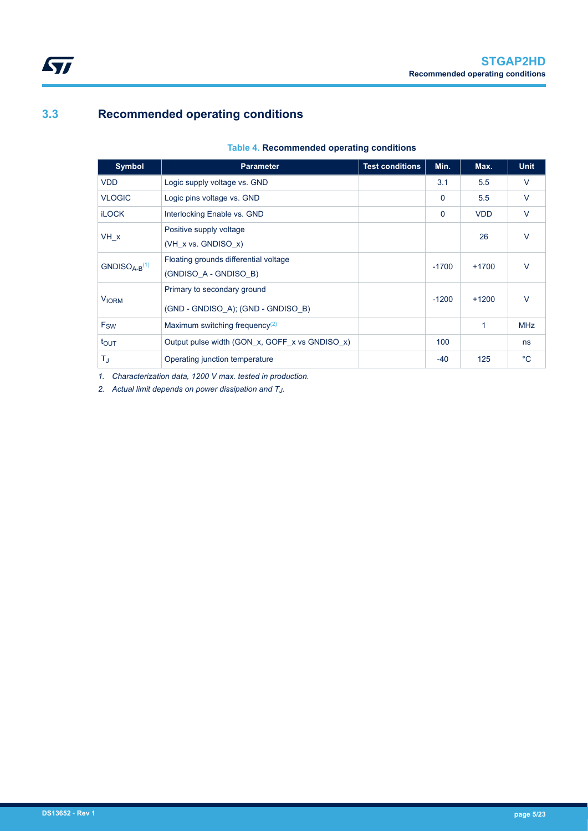### <span id="page-4-0"></span>**3.3 Recommended operating conditions**

#### **Table 4. Recommended operating conditions**

| <b>Symbol</b>  | <b>Parameter</b>                                                  | <b>Test conditions</b> | Min.        | Max.       | <b>Unit</b> |
|----------------|-------------------------------------------------------------------|------------------------|-------------|------------|-------------|
| <b>VDD</b>     | Logic supply voltage vs. GND                                      |                        | 3.1         | 5.5        | $\vee$      |
| <b>VLOGIC</b>  | Logic pins voltage vs. GND                                        |                        | $\Omega$    | 5.5        | $\vee$      |
| <b>iLOCK</b>   | Interlocking Enable vs. GND                                       |                        | $\mathbf 0$ | <b>VDD</b> | $\vee$      |
| VH x           | Positive supply voltage<br>(VH $x$ vs. GNDISO $x$ )               |                        |             | 26         | $\vee$      |
| $GNDISOA-B(1)$ | Floating grounds differential voltage<br>(GNDISO A - GNDISO B)    |                        | $-1700$     | $+1700$    | $\vee$      |
| <b>VIORM</b>   | Primary to secondary ground<br>(GND - GNDISO A); (GND - GNDISO B) |                        | $-1200$     | $+1200$    | $\vee$      |
| Fsw            | Maximum switching frequency <sup>(2)</sup>                        |                        |             | 1          | <b>MHz</b>  |
| tout           | Output pulse width (GON x, GOFF x vs GNDISO x)                    |                        | 100         |            | ns          |
| T,             | Operating junction temperature                                    |                        | $-40$       | 125        | $^{\circ}C$ |

*1. Characterization data, 1200 V max. tested in production.*

*2. Actual limit depends on power dissipation and T<sup>J</sup> .*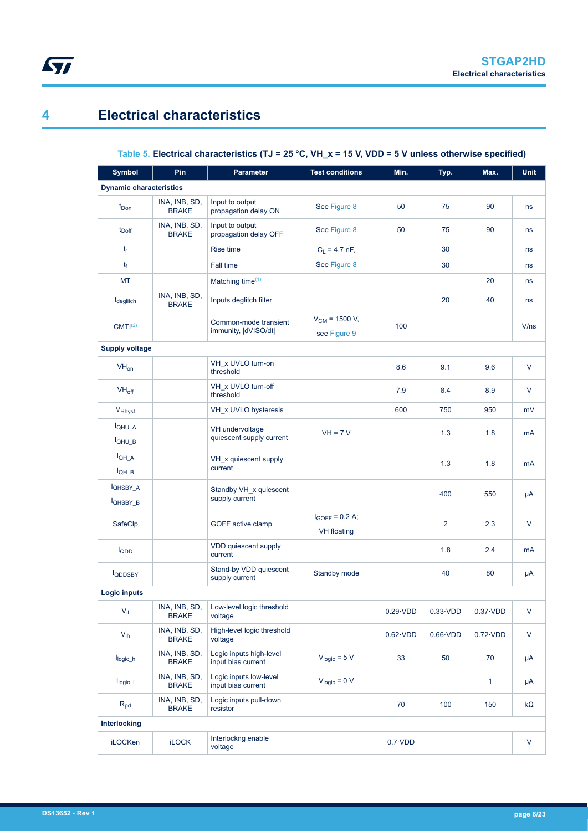## **4 Electrical characteristics**

<span id="page-5-0"></span>ST

### **Table 5. Electrical characteristics (TJ = 25 °C, VH\_x = 15 V, VDD = 5 V unless otherwise specified)**

| <b>Symbol</b>                           | Pin                           | <b>Parameter</b>                              | <b>Test conditions</b>                    | Min.             | Typ.             | Max.             | <b>Unit</b> |
|-----------------------------------------|-------------------------------|-----------------------------------------------|-------------------------------------------|------------------|------------------|------------------|-------------|
| <b>Dynamic characteristics</b>          |                               |                                               |                                           |                  |                  |                  |             |
| t <sub>Don</sub>                        | INA, INB, SD,<br><b>BRAKE</b> | Input to output<br>propagation delay ON       | See Figure 8                              | 50               | 75               | 90               | ns          |
| $t_{\text{Doff}}$                       | INA, INB, SD,<br><b>BRAKE</b> | Input to output<br>propagation delay OFF      | See Figure 8                              | 50               | 75               | 90               | ns          |
| $t_{r}$                                 |                               | Rise time                                     | $C_L = 4.7$ nF,                           |                  | 30               |                  | ns          |
| tf                                      |                               | Fall time                                     | See Figure 8                              |                  | 30               |                  | ns          |
| MT                                      |                               | Matching time $(1)$                           |                                           |                  |                  | 20               | ns          |
| t <sub>deglitch</sub>                   | INA, INB, SD,<br><b>BRAKE</b> | Inputs deglitch filter                        |                                           |                  | 20               | 40               | ns          |
| CMTI <sup>(2)</sup>                     |                               | Common-mode transient<br>immunity,  dVISO/dt  | $V_{CM}$ = 1500 V,<br>see Figure 9        | 100              |                  |                  | V/ns        |
| <b>Supply voltage</b>                   |                               |                                               |                                           |                  |                  |                  |             |
| $VH_{on}$                               |                               | VH x UVLO turn-on<br>threshold                |                                           | 8.6              | 9.1              | 9.6              | V           |
| $VH_{off}$                              |                               | VH_x UVLO turn-off<br>threshold               |                                           | 7.9              | 8.4              | 8.9              | V           |
| V <sub>Hhyst</sub>                      |                               | VH x UVLO hysteresis                          |                                           | 600              | 750              | 950              | mV          |
| IQHU A<br>I <sub>QHU</sub> <sub>B</sub> |                               | VH undervoltage<br>quiescent supply current   | $VH = 7V$                                 |                  | 1.3              | 1.8              | mA          |
| $I_{QH \ A}$<br>$I_{QH_B}$              |                               | VH_x quiescent supply<br>current              |                                           |                  | 1.3              | 1.8              | mA          |
| <b>IQHSBY A</b><br><b>IQHSBY B</b>      |                               | Standby VH x quiescent<br>supply current      |                                           |                  | 400              | 550              | $\mu A$     |
| SafeClp                                 |                               | GOFF active clamp                             | $I_{GOFF} = 0.2 A;$<br><b>VH</b> floating |                  | $\overline{2}$   | 2.3              | V           |
| lopp                                    |                               | VDD quiescent supply<br>current               |                                           |                  | 1.8              | 2.4              | mA          |
| <b>IQDDSBY</b>                          |                               | Stand-by VDD quiescent<br>supply current      | Standby mode                              |                  | 40               | 80               | μA          |
| Logic inputs                            |                               |                                               |                                           |                  |                  |                  |             |
| $V_{\parallel}$                         | INA, INB, SD,<br><b>BRAKE</b> | Low-level logic threshold<br>voltage          |                                           | $0.29 \cdot VDD$ | $0.33 \cdot VDD$ | $0.37 \cdot VDD$ | V           |
| $V_{ih}$                                | INA, INB, SD,<br><b>BRAKE</b> | High-level logic threshold<br>voltage         |                                           | $0.62 \cdot VDD$ | $0.66 \cdot VDD$ | $0.72 \cdot VDD$ | V           |
| $I_{logic\_h}$                          | INA, INB, SD,<br><b>BRAKE</b> | Logic inputs high-level<br>input bias current | $V_{logic} = 5 V$                         | 33               | 50               | 70               | μA          |
| I <sub>logic</sub>                      | INA, INB, SD,<br><b>BRAKE</b> | Logic inputs low-level<br>input bias current  | $V_{logic} = 0 V$                         |                  |                  | $\mathbf{1}$     | $\mu$ A     |
| $R_{pd}$                                | INA, INB, SD,<br><b>BRAKE</b> | Logic inputs pull-down<br>resistor            |                                           | 70               | 100              | 150              | $k\Omega$   |
| Interlocking                            |                               |                                               |                                           |                  |                  |                  |             |
| <b>iLOCKen</b>                          | <b>iLOCK</b>                  | Interlockng enable<br>voltage                 |                                           | $0.7 \cdot VDD$  |                  |                  | V           |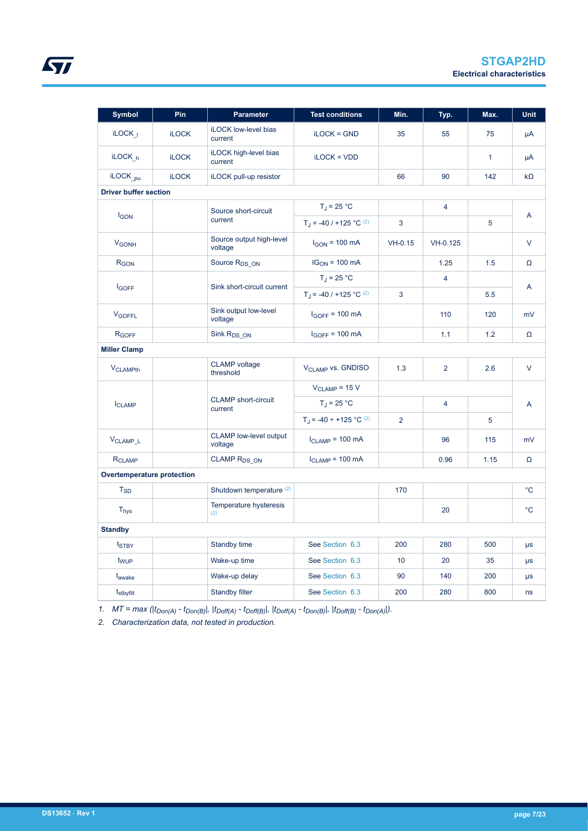| <b>Symbol</b>                | Pin          | <b>Parameter</b>                         | <b>Test conditions</b>                  | Min.           | Typ.           | Max.         | <b>Unit</b> |  |
|------------------------------|--------------|------------------------------------------|-----------------------------------------|----------------|----------------|--------------|-------------|--|
| $i$ LOCK <sub>1</sub>        | <b>iLOCK</b> | iLOCK low-level bias<br>current          | $i$ LOC $K = GND$                       | 35             | 55             | 75           | μA          |  |
| $i$ LOCK <sub>h</sub>        | <b>iLOCK</b> | iLOCK high-level bias<br>current         | $i$ LOC $K = VDD$                       |                |                | $\mathbf{1}$ | μA          |  |
| iLOCK <sub>pu</sub>          | <b>iLOCK</b> | iLOCK pull-up resistor                   |                                         | 66             | 90             | 142          | $k\Omega$   |  |
| <b>Driver buffer section</b> |              |                                          |                                         |                |                |              |             |  |
|                              |              | Source short-circuit                     | $T_J = 25 °C$                           |                | $\overline{4}$ |              |             |  |
| <b>IGON</b>                  |              | current                                  | $T_J = -40 / +125 °C (2)$               | 3              |                | 5            | A           |  |
| <b>V<sub>GONH</sub></b>      |              | Source output high-level<br>voltage      | $I_{GON}$ = 100 mA                      | $VH-0.15$      | VH-0.125       |              | V           |  |
| R <sub>GON</sub>             |              | Source R <sub>DS_ON</sub>                | $IG_{ON} = 100 \text{ mA}$              |                | 1.25           | 1.5          | Ω           |  |
|                              |              |                                          | $T_J = 25 °C$                           |                | $\overline{4}$ |              |             |  |
| <b>IGOFF</b>                 |              | Sink short-circuit current               | $T_J = -40 / +125 °C (2)$               | 3              |                | 5.5          | A           |  |
| <b>V<sub>GOFFL</sub></b>     |              | Sink output low-level<br>voltage         | $I_{GOFF}$ = 100 mA                     |                | 110            | 120          | mV          |  |
| R <sub>GOFF</sub>            |              | Sink R <sub>DS</sub> ON                  | $I_{GOFF}$ = 100 mA                     |                | 1.1            | 1.2          | Ω           |  |
| <b>Miller Clamp</b>          |              |                                          |                                         |                |                |              |             |  |
| <b>VCLAMP<sub>th</sub></b>   |              | <b>CLAMP</b> voltage<br>threshold        | <b>VCLAMP VS. GNDISO</b>                | 1.3            | $\overline{2}$ | 2.6          | $\vee$      |  |
|                              |              |                                          | $V_{CLAMP}$ = 15 V                      |                |                |              |             |  |
| <b>ICLAMP</b>                |              | <b>CLAMP</b> short-circuit<br>current    | $T_{\rm J}$ = 25 °C                     |                | $\overline{4}$ |              | A           |  |
|                              |              |                                          | $T_J = -40 \div +125$ °C <sup>(2)</sup> | $\overline{2}$ |                | 5            |             |  |
| V <sub>CLAMP_L</sub>         |              | <b>CLAMP</b> low-level output<br>voltage | $I_{CLAMP}$ = 100 mA                    |                | 96             | 115          | mV          |  |
| <b>RCLAMP</b>                |              | <b>CLAMP RDS_ON</b>                      | $I_{CLAMP} = 100$ mA                    |                | 0.96           | 1.15         | Ω           |  |
| Overtemperature protection   |              |                                          |                                         |                |                |              |             |  |
| $T_{SD}$                     |              | Shutdown temperature <sup>(2)</sup>      |                                         | 170            |                |              | $^{\circ}C$ |  |
| <b>T<sub>hys</sub></b>       |              | Temperature hysteresis<br>(2)            |                                         |                | 20             |              | $^{\circ}C$ |  |
| <b>Standby</b>               |              |                                          |                                         |                |                |              |             |  |
| t <sub>STBY</sub>            |              | Standby time                             | See Section 6.3                         | 200            | 280            | 500          | $\mu s$     |  |
| t <sub>WUP</sub>             |              | Wake-up time                             | See Section 6.3                         | 10             | 20             | 35           | μs          |  |
| t <sub>awake</sub>           |              | Wake-up delay                            | See Section 6.3                         | 90             | 140            | 200          | $\mu s$     |  |
| t <sub>stbyfilt</sub>        |              | Standby filter                           | See Section 6.3                         | 200            | 280            | 800          | ns          |  |

*1. MT = max (|tDon(A) - tDon(B)|, |tDoff(A) - tDoff(B)|, |tDoff(A) - tDon(B)|, |tDoff(B) - tDon(A)|).*

*2. Characterization data, not tested in production.*

<span id="page-6-0"></span> $\sqrt{2}$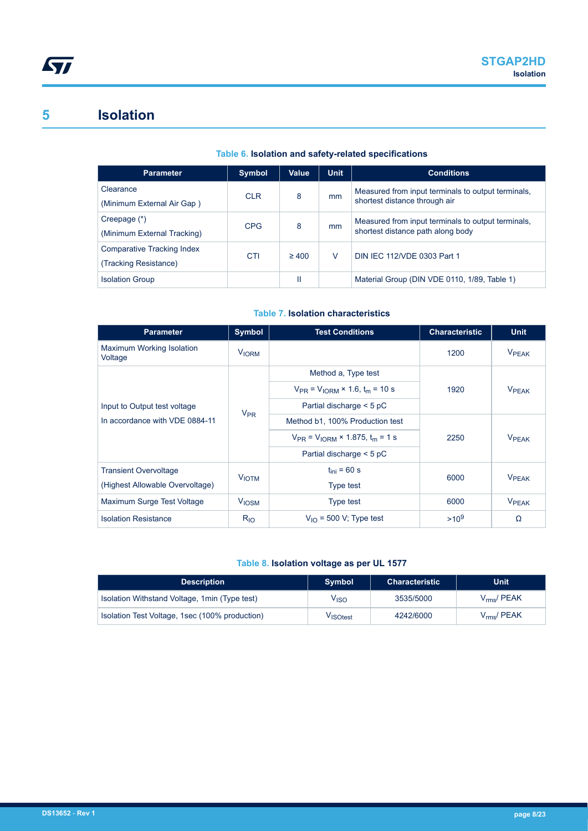### <span id="page-7-0"></span>**5 Isolation**

#### **Table 6. Isolation and safety-related specifications**

| <b>Parameter</b>            | <b>Symbol</b> | Value      | <b>Unit</b> | <b>Conditions</b>                                  |
|-----------------------------|---------------|------------|-------------|----------------------------------------------------|
| Clearance                   | <b>CLR</b>    | 8          | mm          | Measured from input terminals to output terminals, |
| (Minimum External Air Gap)  |               |            |             | shortest distance through air                      |
| Creepage (*)                | <b>CPG</b>    | 8          | mm          | Measured from input terminals to output terminals, |
| (Minimum External Tracking) |               |            |             | shortest distance path along body                  |
| Comparative Tracking Index  | CTI           | $\geq 400$ | V           | DIN IEC 112/VDE 0303 Part 1                        |
| (Tracking Resistance)       |               |            |             |                                                    |
| <b>Isolation Group</b>      |               | Ш          |             | Material Group (DIN VDE 0110, 1/89, Table 1)       |

#### **Table 7. Isolation characteristics**

| <b>Parameter</b>                     | Symbol                  | <b>Test Conditions</b>                         | <b>Characteristic</b> | <b>Unit</b>              |  |
|--------------------------------------|-------------------------|------------------------------------------------|-----------------------|--------------------------|--|
| Maximum Working Isolation<br>Voltage | <b>V<sub>IORM</sub></b> |                                                | 1200                  | <b>VPEAK</b>             |  |
|                                      |                         | Method a, Type test                            |                       |                          |  |
|                                      |                         | $V_{PR} = V_{10RM} \times 1.6$ , $t_m = 10$ s  | 1920                  | <b>VPFAK</b>             |  |
| Input to Output test voltage         | $V_{PR}$                | Partial discharge $<$ 5 pC                     |                       |                          |  |
| In accordance with VDE 0884-11       |                         | Method b1, 100% Production test                |                       |                          |  |
|                                      |                         | $V_{PR} = V_{10RM} \times 1.875$ , $t_m = 1$ s | 2250                  | <b>V</b> <sub>PEAK</sub> |  |
|                                      |                         | Partial discharge $<$ 5 pC                     |                       |                          |  |
| <b>Transient Overvoltage</b>         | <b>VIOTM</b>            | $t_{\text{ini}}$ = 60 s                        | 6000                  | <b>VPFAK</b>             |  |
| (Highest Allowable Overvoltage)      |                         | Type test                                      |                       |                          |  |
| Maximum Surge Test Voltage           | <b>V<sub>IOSM</sub></b> | Type test                                      | 6000                  | <b>VPEAK</b>             |  |
| <b>Isolation Resistance</b>          | $R_{10}$                | $V_{\text{IO}}$ = 500 V; Type test             | $>10^{9}$             | Ω                        |  |

#### **Table 8. Isolation voltage as per UL 1577**

| <b>Description</b>                             | <b>Symbol</b>        | <b>Characteristic</b> | <b>Unit</b>           |
|------------------------------------------------|----------------------|-----------------------|-----------------------|
| Isolation Withstand Voltage, 1min (Type test)  | V <sub>ISO</sub>     | 3535/5000             | $V_{\text{rms}}/PEAK$ |
| Isolation Test Voltage, 1sec (100% production) | V <sub>ISOtest</sub> | 4242/6000             | $V_{\text{rms}}/PEAK$ |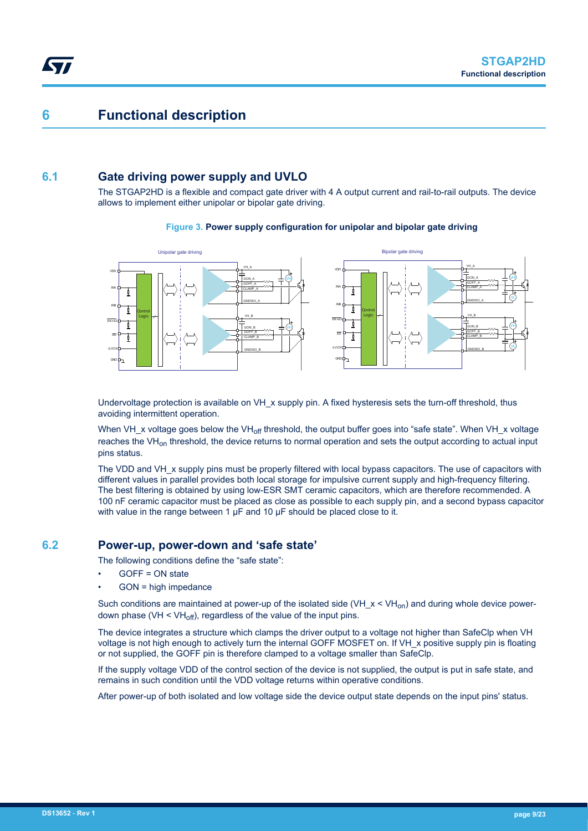### <span id="page-8-0"></span>**6 Functional description**

### **6.1 Gate driving power supply and UVLO**

The STGAP2HD is a flexible and compact gate driver with 4 A output current and rail-to-rail outputs. The device allows to implement either unipolar or bipolar gate driving.

#### **Figure 3. Power supply configuration for unipolar and bipolar gate driving**



Undervoltage protection is available on VH\_x supply pin. A fixed hysteresis sets the turn-off threshold, thus avoiding intermittent operation.

When VH x voltage goes below the VH<sub>off</sub> threshold, the output buffer goes into "safe state". When VH x voltage reaches the VH<sub>on</sub> threshold, the device returns to normal operation and sets the output according to actual input pins status.

The VDD and VH x supply pins must be properly filtered with local bypass capacitors. The use of capacitors with different values in parallel provides both local storage for impulsive current supply and high-frequency filtering. The best filtering is obtained by using low-ESR SMT ceramic capacitors, which are therefore recommended. A 100 nF ceramic capacitor must be placed as close as possible to each supply pin, and a second bypass capacitor with value in the range between 1 μF and 10 μF should be placed close to it.

### **6.2 Power-up, power-down and 'safe state'**

The following conditions define the "safe state":

- GOFF = ON state
- GON = high impedance

Such conditions are maintained at power-up of the isolated side (VH  $x < VH_{on}$ ) and during whole device powerdown phase (VH  $\leq$  VH<sub>off</sub>), regardless of the value of the input pins.

The device integrates a structure which clamps the driver output to a voltage not higher than SafeClp when VH voltage is not high enough to actively turn the internal GOFF MOSFET on. If VH x positive supply pin is floating or not supplied, the GOFF pin is therefore clamped to a voltage smaller than SafeClp.

If the supply voltage VDD of the control section of the device is not supplied, the output is put in safe state, and remains in such condition until the VDD voltage returns within operative conditions.

After power-up of both isolated and low voltage side the device output state depends on the input pins' status.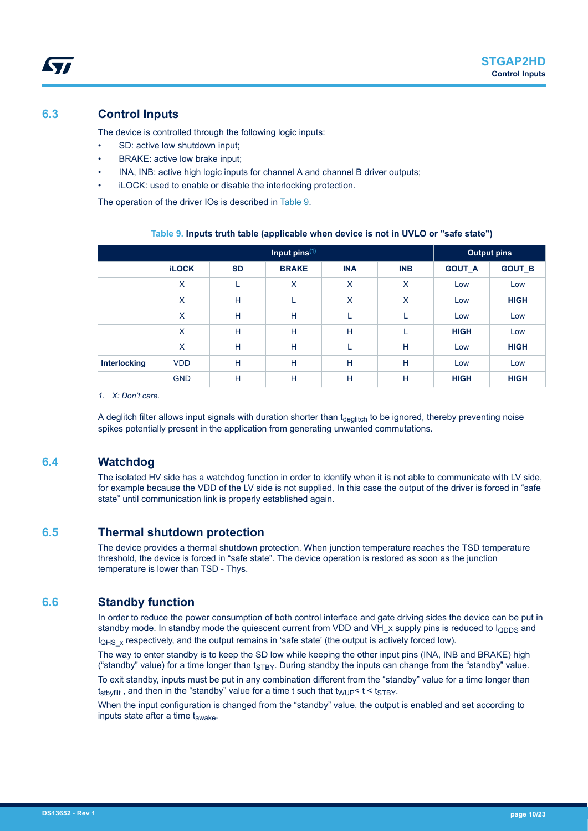### <span id="page-9-0"></span>**6.3 Control Inputs**

The device is controlled through the following logic inputs:

- SD: active low shutdown input;
- BRAKE: active low brake input;
- INA, INB: active high logic inputs for channel A and channel B driver outputs;
- iLOCK: used to enable or disable the interlocking protection.

The operation of the driver IOs is described in Table 9.

|                     |              |           | <b>Output pins</b> |            |            |               |               |
|---------------------|--------------|-----------|--------------------|------------|------------|---------------|---------------|
|                     | <b>iLOCK</b> | <b>SD</b> | <b>BRAKE</b>       | <b>INA</b> | <b>INB</b> | <b>GOUT_A</b> | <b>GOUT_B</b> |
|                     | X            | ┕         | X                  | X          | X          | Low           | Low           |
|                     | X            | H         | L                  | X          | X          | Low           | <b>HIGH</b>   |
|                     | X            | H         | н                  |            |            | Low           | Low           |
|                     | X            | H         | H                  | H          |            | <b>HIGH</b>   | Low           |
|                     | X            | H         | H                  |            | H          | Low           | <b>HIGH</b>   |
| <b>Interlocking</b> | <b>VDD</b>   | H         | н                  | Н          | H          | Low           | Low           |
|                     | <b>GND</b>   | H         | н                  | H          | H          | <b>HIGH</b>   | <b>HIGH</b>   |

#### **Table 9. Inputs truth table (applicable when device is not in UVLO or "safe state")**

*1. X: Don't care.*

A deglitch filter allows input signals with duration shorter than t<sub>deglitch</sub> to be ignored, thereby preventing noise spikes potentially present in the application from generating unwanted commutations.

#### **6.4 Watchdog**

The isolated HV side has a watchdog function in order to identify when it is not able to communicate with LV side, for example because the VDD of the LV side is not supplied. In this case the output of the driver is forced in "safe state" until communication link is properly established again.

#### **6.5 Thermal shutdown protection**

The device provides a thermal shutdown protection. When junction temperature reaches the TSD temperature threshold, the device is forced in "safe state". The device operation is restored as soon as the junction temperature is lower than TSD - Thys.

#### **6.6 Standby function**

In order to reduce the power consumption of both control interface and gate driving sides the device can be put in standby mode. In standby mode the quiescent current from VDD and VH  $\times$  supply pins is reduced to  $I_{\text{ODDS}}$  and  $I_{QHS}$  x respectively, and the output remains in 'safe state' (the output is actively forced low).

The way to enter standby is to keep the SD low while keeping the other input pins (INA, INB and BRAKE) high ("standby" value) for a time longer than  $t_{\text{STBY}}$ . During standby the inputs can change from the "standby" value.

To exit standby, inputs must be put in any combination different from the "standby" value for a time longer than  $t_{\text{stb}$  and then in the "standby" value for a time t such that  $t_{\text{WUP}}$  <  $t$  <  $t_{\text{STBY}}$ .

When the input configuration is changed from the "standby" value, the output is enabled and set according to inputs state after a time  $t_{\text{awake}}$ .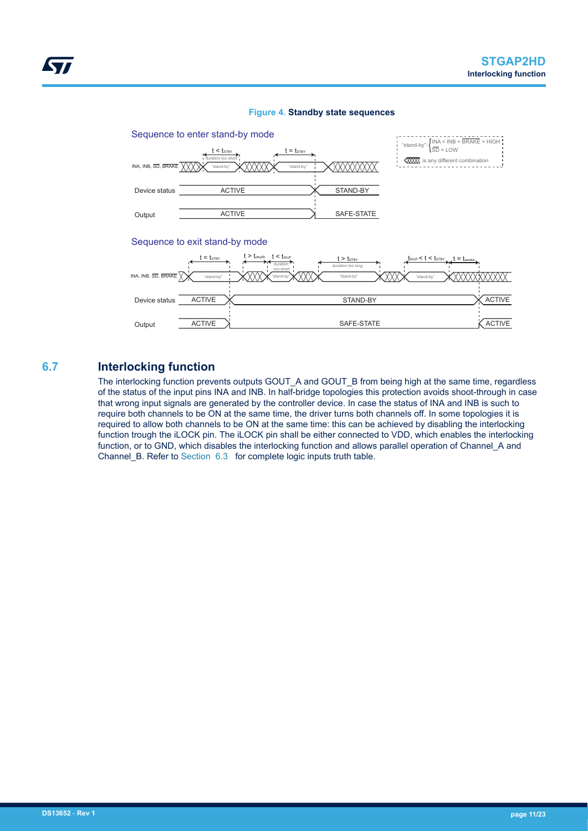<span id="page-10-0"></span>

#### **Figure 4. Standby state sequences**

#### Sequence to exit stand-by mode



**6.7 Interlocking function**

The interlocking function prevents outputs GOUT\_A and GOUT\_B from being high at the same time, regardless of the status of the input pins INA and INB. In half-bridge topologies this protection avoids shoot-through in case that wrong input signals are generated by the controller device. In case the status of INA and INB is such to require both channels to be ON at the same time, the driver turns both channels off. In some topologies it is required to allow both channels to be ON at the same time: this can be achieved by disabling the interlocking function trough the iLOCK pin. The iLOCK pin shall be either connected to VDD, which enables the interlocking function, or to GND, which disables the interlocking function and allows parallel operation of Channel\_A and Channel B. Refer to [Section 6.3](#page-9-0) for complete logic inputs truth table.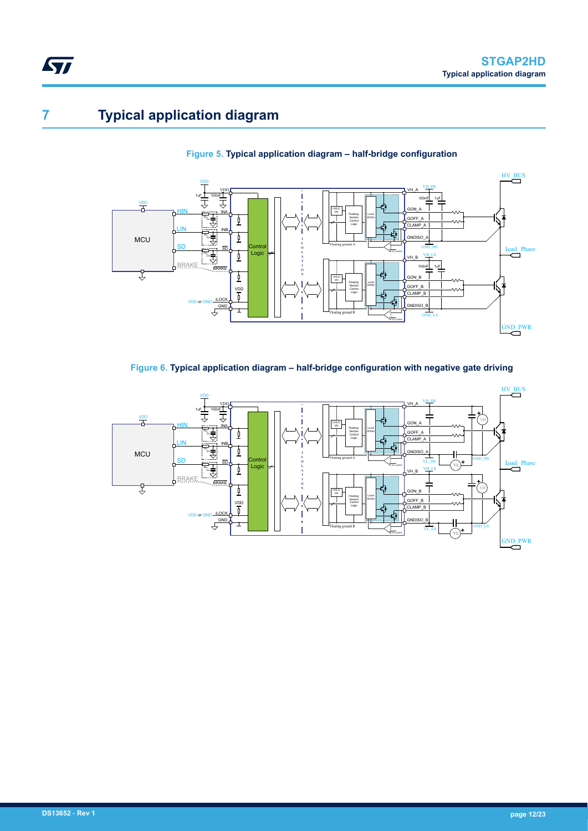# <span id="page-11-0"></span>**7 Typical application diagram**





**Figure 6. Typical application diagram – half-bridge configuration with negative gate driving**

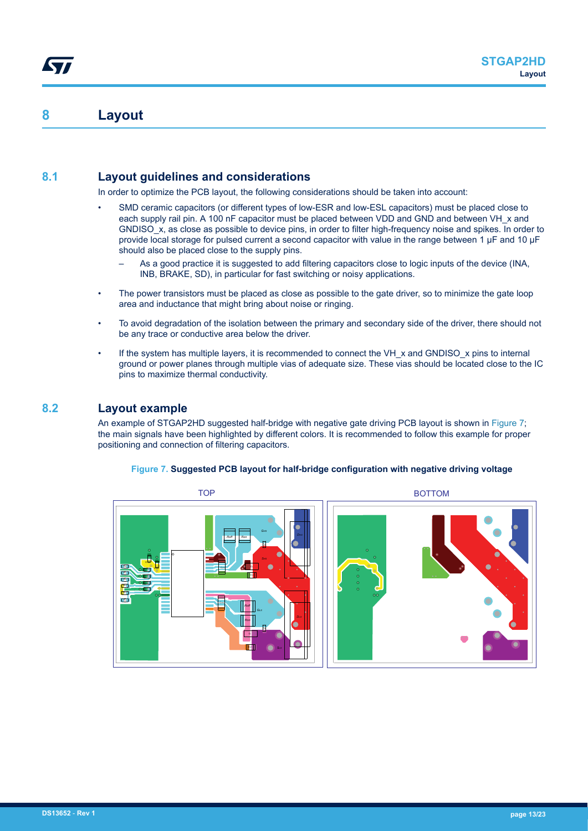### **8 Layout**

<span id="page-12-0"></span>ST

### **8.1 Layout guidelines and considerations**

In order to optimize the PCB layout, the following considerations should be taken into account:

- SMD ceramic capacitors (or different types of low-ESR and low-ESL capacitors) must be placed close to each supply rail pin. A 100 nF capacitor must be placed between VDD and GND and between VH x and GNDISO x, as close as possible to device pins, in order to filter high-frequency noise and spikes. In order to provide local storage for pulsed current a second capacitor with value in the range between 1 µF and 10 µF should also be placed close to the supply pins.
	- As a good practice it is suggested to add filtering capacitors close to logic inputs of the device (INA, INB, BRAKE, SD), in particular for fast switching or noisy applications.
- The power transistors must be placed as close as possible to the gate driver, so to minimize the gate loop area and inductance that might bring about noise or ringing.
- To avoid degradation of the isolation between the primary and secondary side of the driver, there should not be any trace or conductive area below the driver.
- If the system has multiple layers, it is recommended to connect the VH  $\times$  and GNDISO  $\times$  pins to internal ground or power planes through multiple vias of adequate size. These vias should be located close to the IC pins to maximize thermal conductivity.

#### **8.2 Layout example**

An example of STGAP2HD suggested half-bridge with negative gate driving PCB layout is shown in Figure 7; the main signals have been highlighted by different colors. It is recommended to follow this example for proper positioning and connection of filtering capacitors.

#### *GHS SHS Roff Roff Ron Ron GLS CVH CVHL RPU RIN RIN RIN CVH C<sup>G</sup> CVDD CIN C<sup>G</sup>* TOP BOTTOM *CVDD RPU CIN CIN*

#### **Figure 7. Suggested PCB layout for half-bridge configuration with negative driving voltage**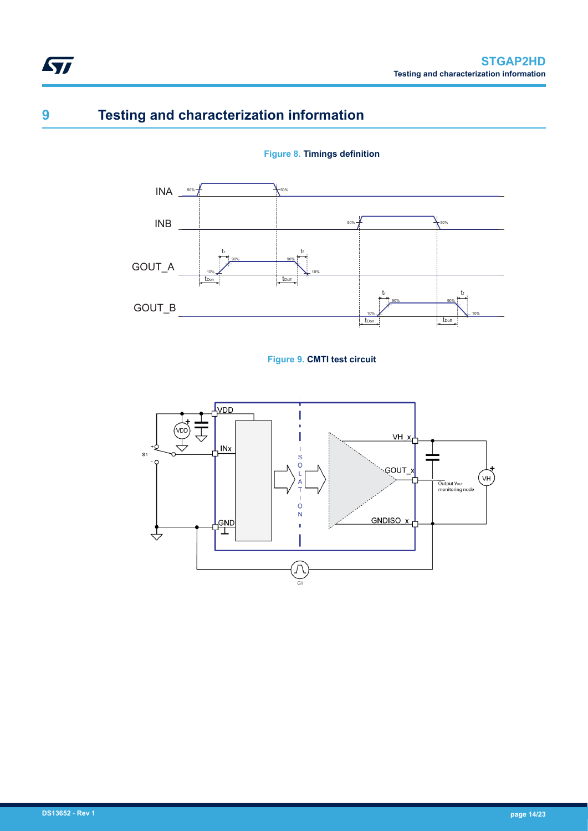## **9 Testing and characterization information**

<span id="page-13-0"></span>**STI** 





#### **Figure 9. CMTI test circuit**

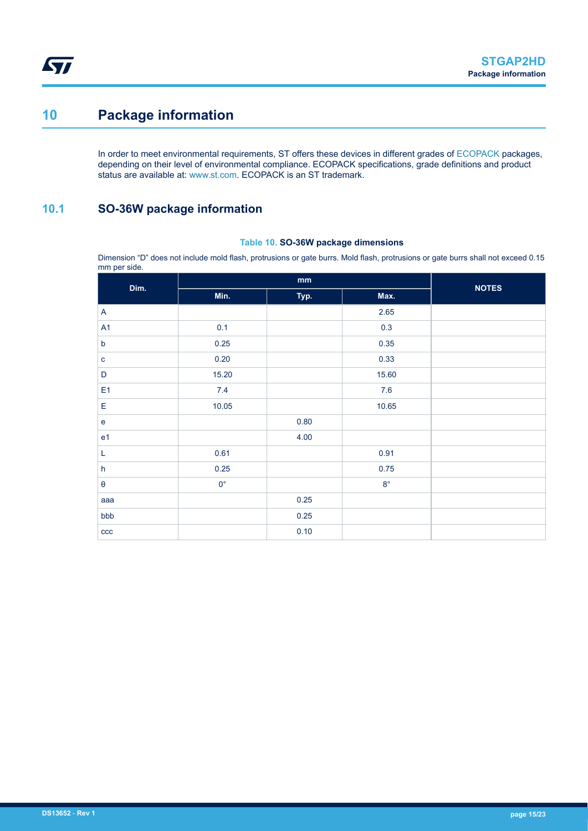## <span id="page-14-0"></span>**10 Package information**

In order to meet environmental requirements, ST offers these devices in different grades of [ECOPACK](https://www.st.com/ecopack) packages, depending on their level of environmental compliance. ECOPACK specifications, grade definitions and product status are available at: [www.st.com.](http://www.st.com) ECOPACK is an ST trademark.

### **10.1 SO-36W package information**

#### **Table 10. SO-36W package dimensions**

Dimension "D" does not include mold flash, protrusions or gate burrs. Mold flash, protrusions or gate burrs shall not exceed 0.15 mm per side.

| $\mathbf{r}$<br>Dim.      |             | <b>NOTES</b> |             |  |
|---------------------------|-------------|--------------|-------------|--|
|                           | Min.        | Typ.         | Max.        |  |
| A                         |             |              | 2.65        |  |
| A <sub>1</sub>            | 0.1         |              | 0.3         |  |
| $\sf b$                   | 0.25        |              | 0.35        |  |
| $\mathbf{C}$              | 0.20        |              | 0.33        |  |
| D                         | 15.20       |              | 15.60       |  |
| E <sub>1</sub>            | 7.4         |              | $7.6$       |  |
| E                         | 10.05       |              | 10.65       |  |
| $\mathbf e$               |             | 0.80         |             |  |
| e <sub>1</sub>            |             | 4.00         |             |  |
| L                         | 0.61        |              | 0.91        |  |
| $\boldsymbol{\mathsf{h}}$ | 0.25        |              | 0.75        |  |
| $\pmb{\theta}$            | $0^{\circ}$ |              | $8^{\circ}$ |  |
| aaa                       |             | 0.25         |             |  |
| bbb                       |             | 0.25         |             |  |
| ccc                       |             | 0.10         |             |  |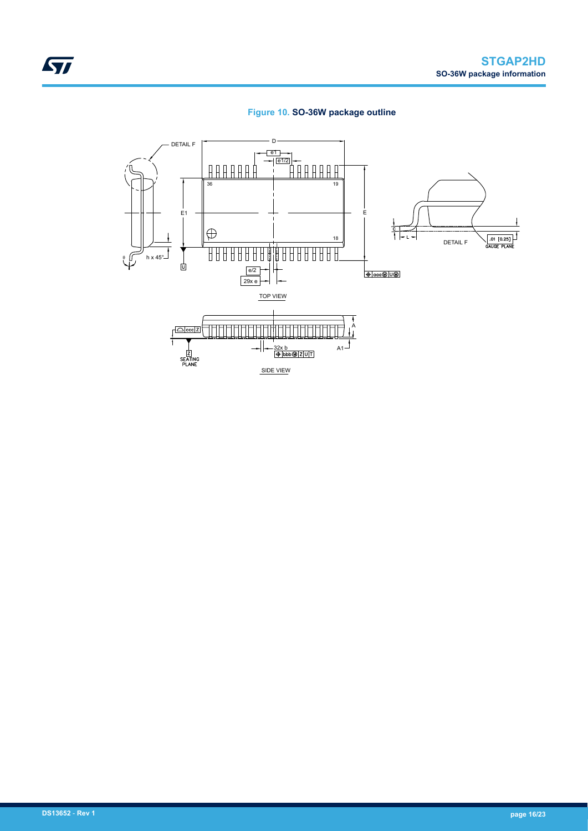

<span id="page-15-0"></span>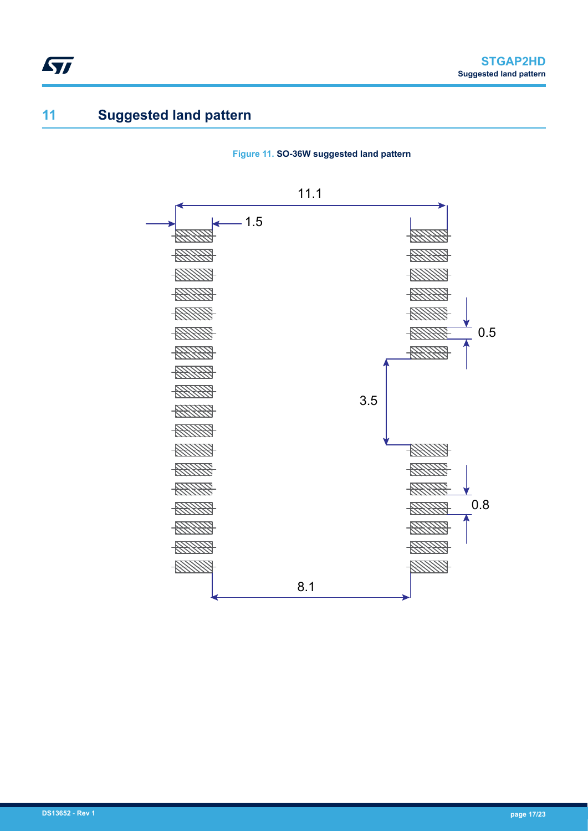## **11 Suggested land pattern**

<span id="page-16-0"></span>ST



**Figure 11. SO-36W suggested land pattern**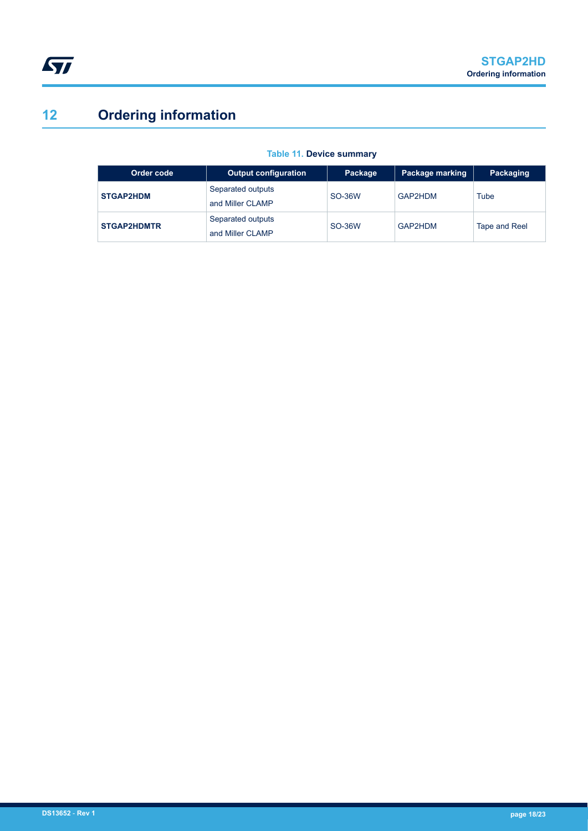# <span id="page-17-0"></span>**12 Ordering information**

| Order code         | <b>Output configuration</b>           | Package | Package marking | Packaging     |
|--------------------|---------------------------------------|---------|-----------------|---------------|
| <b>STGAP2HDM</b>   | Separated outputs<br>and Miller CLAMP | SO-36W  | GAP2HDM         | Tube          |
| <b>STGAP2HDMTR</b> | Separated outputs<br>and Miller CLAMP | SO-36W  | GAP2HDM         | Tape and Reel |

#### **Table 11. Device summary**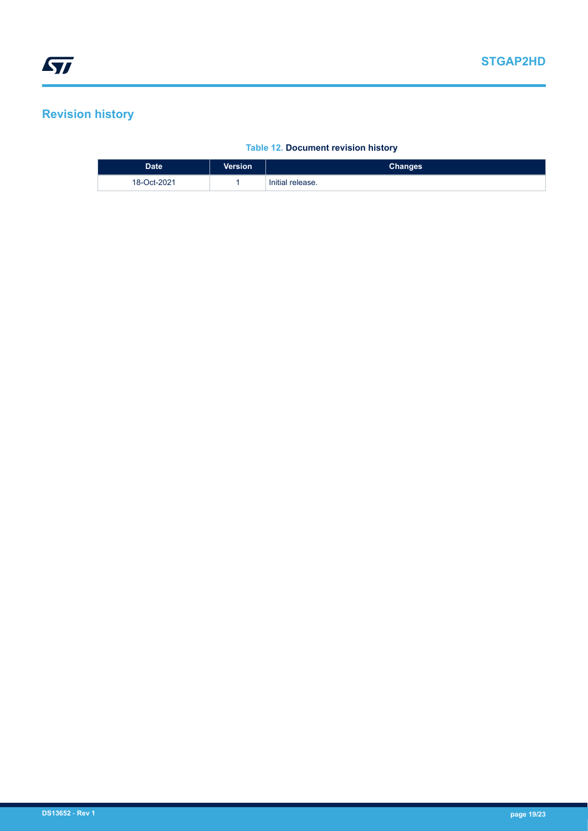## <span id="page-18-0"></span>**Revision history**

#### **Table 12. Document revision history**

| <b>Date</b> | <b>Version</b> | <b>Changes</b>   |
|-------------|----------------|------------------|
| 18-Oct-2021 |                | Initial release. |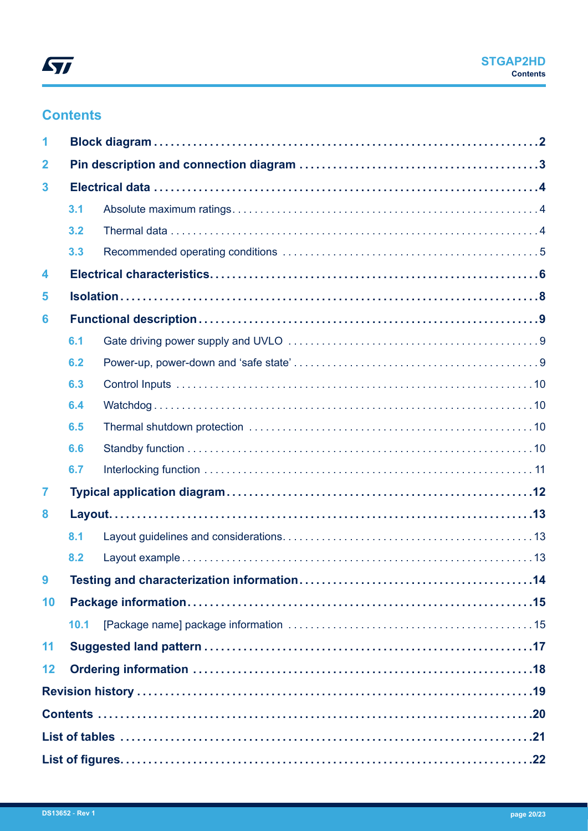## **Contents**

| 1              |      |  |  |  |
|----------------|------|--|--|--|
| $\overline{2}$ |      |  |  |  |
| 3              |      |  |  |  |
|                | 3.1  |  |  |  |
|                | 3.2  |  |  |  |
|                | 3.3  |  |  |  |
| 4              |      |  |  |  |
| 5              |      |  |  |  |
| 6              |      |  |  |  |
|                | 6.1  |  |  |  |
|                | 6.2  |  |  |  |
|                | 6.3  |  |  |  |
|                | 6.4  |  |  |  |
|                | 6.5  |  |  |  |
|                | 6.6  |  |  |  |
|                | 6.7  |  |  |  |
| 7              |      |  |  |  |
| 8              |      |  |  |  |
|                | 8.1  |  |  |  |
|                | 8.2  |  |  |  |
|                |      |  |  |  |
| 10             |      |  |  |  |
|                | 10.1 |  |  |  |
| 11             |      |  |  |  |
| 12             |      |  |  |  |
|                |      |  |  |  |
|                |      |  |  |  |
|                |      |  |  |  |
|                |      |  |  |  |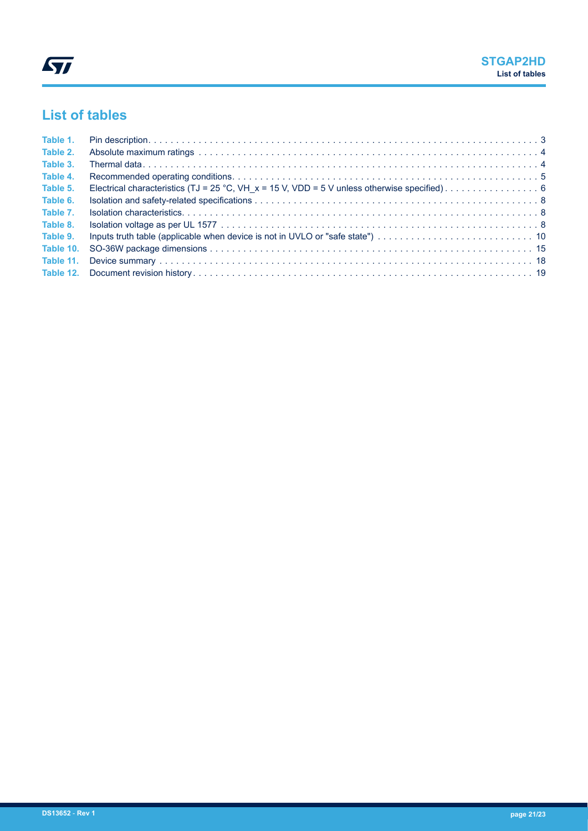## <span id="page-20-0"></span>**List of tables**

| Table 1.  |  |
|-----------|--|
| Table 2.  |  |
| Table 3.  |  |
| Table 4.  |  |
| Table 5.  |  |
| Table 6.  |  |
| Table 7.  |  |
| Table 8.  |  |
| Table 9.  |  |
| Table 10. |  |
| Table 11. |  |
|           |  |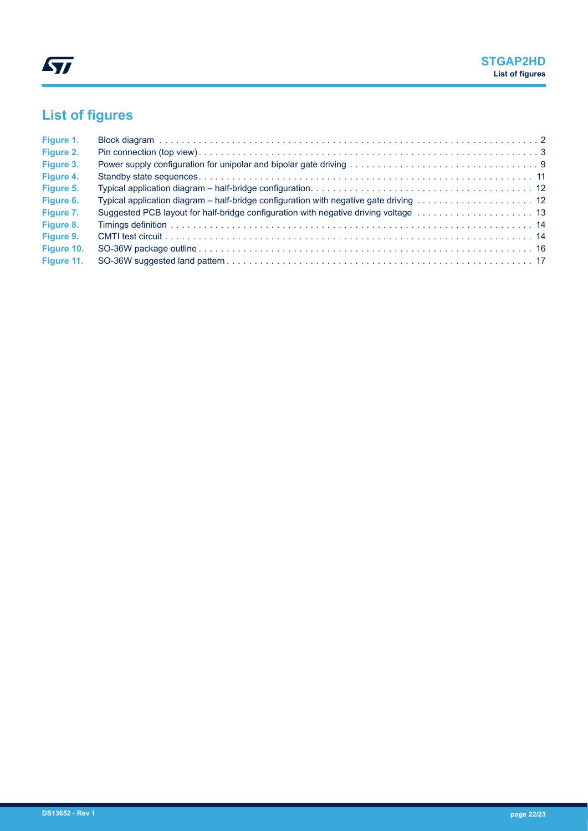# <span id="page-21-0"></span>**List of figures**

| Figure 1.  |  |
|------------|--|
| Figure 2.  |  |
| Figure 3.  |  |
| Figure 4.  |  |
| Figure 5.  |  |
| Figure 6.  |  |
| Figure 7.  |  |
| Figure 8.  |  |
| Figure 9.  |  |
| Figure 10. |  |
| Figure 11. |  |